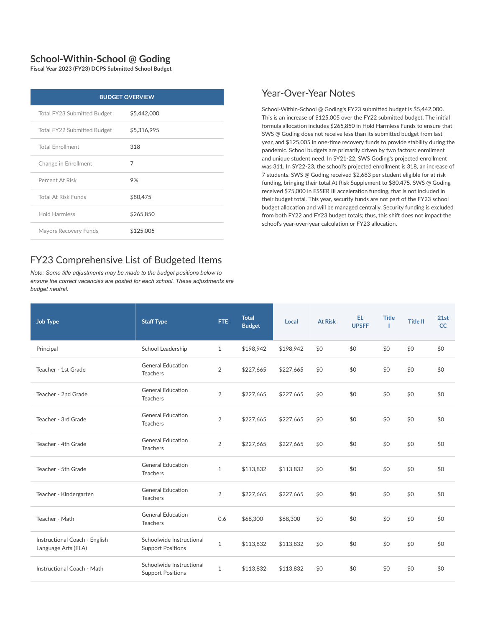## **School-Within-School @ Goding**

**Fiscal Year 2023 (FY23) DCPS Submitted School Budget**

| <b>BUDGET OVERVIEW</b>      |             |  |  |  |  |
|-----------------------------|-------------|--|--|--|--|
| Total FY23 Submitted Budget | \$5,442,000 |  |  |  |  |
| Total FY22 Submitted Budget | \$5,316,995 |  |  |  |  |
| <b>Total Enrollment</b>     | 318         |  |  |  |  |
| Change in Enrollment        | 7           |  |  |  |  |
| Percent At Risk             | 9%          |  |  |  |  |
| <b>Total At Risk Funds</b>  | \$80,475    |  |  |  |  |
| <b>Hold Harmless</b>        | \$265,850   |  |  |  |  |
| Mayors Recovery Funds       | \$125,005   |  |  |  |  |

## FY23 Comprehensive List of Budgeted Items

*Note: Some title adjustments may be made to the budget positions below to ensure the correct vacancies are posted for each school. These adjustments are budget neutral.*

## Year-Over-Year Notes

School-Within-School @ Goding's FY23 submitted budget is \$5,442,000. This is an increase of \$125,005 over the FY22 submitted budget. The initial formula allocation includes \$265,850 in Hold Harmless Funds to ensure that SWS @ Goding does not receive less than its submitted budget from last year, and \$125,005 in one-time recovery funds to provide stability during the pandemic. School budgets are primarily driven by two factors: enrollment and unique student need. In SY21-22, SWS Goding's projected enrollment was 311. In SY22-23, the school's projected enrollment is 318, an increase of 7 students. SWS @ Goding received \$2,683 per student eligible for at risk funding, bringing their total At Risk Supplement to \$80,475. SWS @ Goding received \$75,000 in ESSER III acceleration funding, that is not included in their budget total. This year, security funds are not part of the FY23 school budget allocation and will be managed centrally. Security funding is excluded from both FY22 and FY23 budget totals; thus, this shift does not impact the school's year-over-year calculation or FY23 allocation.

| Job Type                                             | <b>Staff Type</b>                                    | <b>FTE</b>     | <b>Total</b><br><b>Budget</b> | Local     | <b>At Risk</b> | EL.<br><b>UPSFF</b> | <b>Title</b><br>т | <b>Title II</b> | 21st<br>CC |
|------------------------------------------------------|------------------------------------------------------|----------------|-------------------------------|-----------|----------------|---------------------|-------------------|-----------------|------------|
| Principal                                            | School Leadership                                    | $\mathbf{1}$   | \$198,942                     | \$198,942 | \$0            | \$0                 | \$0               | \$0             | \$0        |
| Teacher - 1st Grade                                  | <b>General Education</b><br><b>Teachers</b>          | $\overline{2}$ | \$227,665                     | \$227,665 | \$0            | \$0                 | \$0               | \$0             | \$0        |
| Teacher - 2nd Grade                                  | <b>General Education</b><br><b>Teachers</b>          | 2              | \$227,665                     | \$227,665 | \$0            | \$0                 | \$0               | \$0             | \$0        |
| Teacher - 3rd Grade                                  | <b>General Education</b><br><b>Teachers</b>          | $\overline{2}$ | \$227,665                     | \$227,665 | \$0            | \$0                 | \$0               | \$0             | \$0        |
| Teacher - 4th Grade                                  | <b>General Education</b><br><b>Teachers</b>          | $\overline{2}$ | \$227.665                     | \$227,665 | \$0            | \$0                 | \$0               | \$0             | \$0        |
| Teacher - 5th Grade                                  | <b>General Education</b><br><b>Teachers</b>          | $\mathbf{1}$   | \$113,832                     | \$113,832 | \$0            | \$0                 | \$0               | \$0             | \$0        |
| Teacher - Kindergarten                               | <b>General Education</b><br><b>Teachers</b>          | $\overline{2}$ | \$227,665                     | \$227,665 | \$0            | \$0                 | \$0               | \$0             | \$0        |
| Teacher - Math                                       | <b>General Education</b><br><b>Teachers</b>          | 0.6            | \$68,300                      | \$68,300  | \$0            | \$0                 | \$0               | \$0             | \$0        |
| Instructional Coach - English<br>Language Arts (ELA) | Schoolwide Instructional<br><b>Support Positions</b> | $\mathbf{1}$   | \$113,832                     | \$113,832 | \$0            | \$0                 | \$0               | \$0             | \$0        |
| Instructional Coach - Math                           | Schoolwide Instructional<br><b>Support Positions</b> | 1              | \$113,832                     | \$113,832 | \$0            | \$0                 | \$0               | \$0             | \$0        |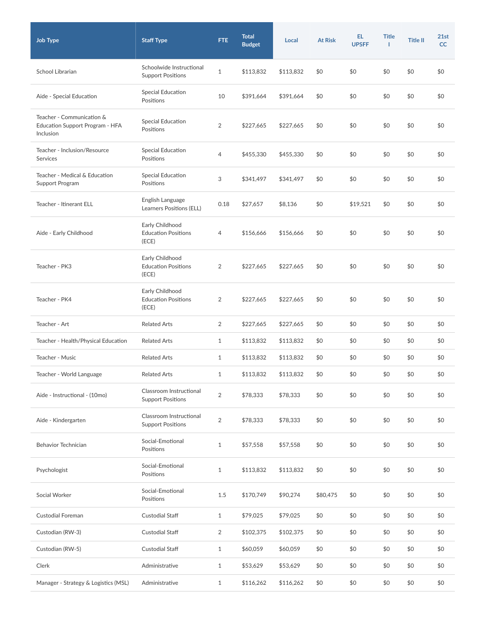| <b>Job Type</b>                                                           | <b>Staff Type</b>                                      | <b>FTE</b>     | <b>Total</b><br><b>Budget</b> | Local     | <b>At Risk</b> | EL.<br><b>UPSFF</b> | <b>Title</b><br>т | <b>Title II</b> | 21st<br>CC |
|---------------------------------------------------------------------------|--------------------------------------------------------|----------------|-------------------------------|-----------|----------------|---------------------|-------------------|-----------------|------------|
| School Librarian                                                          | Schoolwide Instructional<br><b>Support Positions</b>   | $\mathbf{1}$   | \$113,832                     | \$113,832 | \$0            | \$0                 | \$0               | \$0             | \$0        |
| Aide - Special Education                                                  | Special Education<br>Positions                         | 10             | \$391,664                     | \$391,664 | \$0            | \$0                 | \$0               | \$0             | \$0        |
| Teacher - Communication &<br>Education Support Program - HFA<br>Inclusion | Special Education<br>Positions                         | $\overline{2}$ | \$227,665                     | \$227,665 | \$0            | \$0                 | \$0               | \$0             | \$0        |
| Teacher - Inclusion/Resource<br>Services                                  | Special Education<br>Positions                         | $\overline{4}$ | \$455,330                     | \$455,330 | \$0            | \$0                 | \$0               | \$0             | \$0        |
| Teacher - Medical & Education<br>Support Program                          | Special Education<br>Positions                         | 3              | \$341,497                     | \$341,497 | \$0            | \$0                 | \$0               | \$0             | \$0        |
| Teacher - Itinerant ELL                                                   | English Language<br>Learners Positions (ELL)           | 0.18           | \$27,657                      | \$8,136   | \$0            | \$19,521            | \$0               | \$0             | \$0        |
| Aide - Early Childhood                                                    | Early Childhood<br><b>Education Positions</b><br>(ECE) | $\overline{4}$ | \$156,666                     | \$156,666 | \$0            | \$0                 | \$0               | \$0             | \$0        |
| Teacher - PK3                                                             | Early Childhood<br><b>Education Positions</b><br>(ECE) | 2              | \$227,665                     | \$227,665 | \$0            | \$0                 | \$0               | \$0             | \$0        |
| Teacher - PK4                                                             | Early Childhood<br><b>Education Positions</b><br>(ECE) | 2              | \$227,665                     | \$227,665 | \$0            | \$0                 | \$0               | \$0             | \$0        |
| Teacher - Art                                                             | <b>Related Arts</b>                                    | $\overline{2}$ | \$227,665                     | \$227,665 | \$0            | \$0                 | \$0               | \$0             | \$0        |
| Teacher - Health/Physical Education                                       | <b>Related Arts</b>                                    | 1              | \$113,832                     | \$113,832 | \$0            | \$0                 | \$0               | \$0             | \$0        |
| Teacher - Music                                                           | <b>Related Arts</b>                                    | 1              | \$113,832                     | \$113,832 | \$0            | \$0                 | \$0               | \$0             | \$0        |
| Teacher - World Language                                                  | <b>Related Arts</b>                                    | 1              | \$113,832                     | \$113,832 | \$0            | \$0                 | \$0               | \$0             | \$0        |
| Aide - Instructional - (10mo)                                             | Classroom Instructional<br><b>Support Positions</b>    | $\overline{2}$ | \$78,333                      | \$78,333  | \$0            | \$0                 | \$0               | \$0             | \$0        |
| Aide - Kindergarten                                                       | Classroom Instructional<br><b>Support Positions</b>    | $\overline{2}$ | \$78,333                      | \$78,333  | \$0            | \$0                 | \$0               | \$0             | \$0        |
| <b>Behavior Technician</b>                                                | Social-Emotional<br>Positions                          | $\mathbf{1}$   | \$57,558                      | \$57,558  | \$0            | \$0                 | \$0               | \$0             | \$0        |
| Psychologist                                                              | Social-Emotional<br>Positions                          | $\mathbf{1}$   | \$113,832                     | \$113,832 | \$0            | \$0                 | \$0               | \$0             | \$0        |
| Social Worker                                                             | Social-Emotional<br>Positions                          | 1.5            | \$170,749                     | \$90,274  | \$80,475       | \$0                 | \$0               | \$0             | \$0        |
| <b>Custodial Foreman</b>                                                  | <b>Custodial Staff</b>                                 | $\mathbf{1}$   | \$79,025                      | \$79,025  | \$0            | \$0                 | \$0               | \$0             | \$0        |
| Custodian (RW-3)                                                          | Custodial Staff                                        | $\overline{2}$ | \$102,375                     | \$102,375 | \$0            | \$0                 | \$0               | \$0             | \$0        |
| Custodian (RW-5)                                                          | <b>Custodial Staff</b>                                 | 1              | \$60,059                      | \$60,059  | \$0            | \$0                 | \$0               | \$0             | \$0        |
| Clerk                                                                     | Administrative                                         | 1              | \$53,629                      | \$53,629  | \$0            | \$0                 | \$0               | \$0             | \$0        |
| Manager - Strategy & Logistics (MSL)                                      | Administrative                                         | 1              | \$116,262                     | \$116,262 | \$0            | \$0                 | \$0               | \$0             | \$0        |